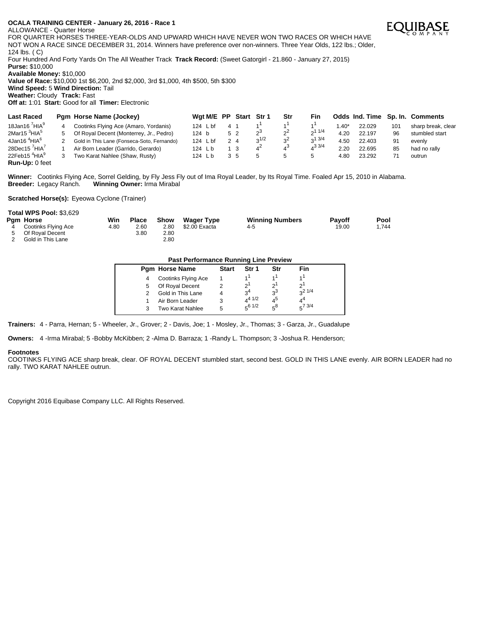ALLOWANCE - Quarter Horse

FOR QUARTER HORSES THREE-YEAR-OLDS AND UPWARD WHICH HAVE NEVER WON TWO RACES OR WHICH HAVE NOT WON A RACE SINCE DECEMBER 31, 2014. Winners have preference over non-winners. Three Year Olds, 122 lbs.; Older, 124 lbs. ( C)

Four Hundred And Forty Yards On The All Weather Track **Track Record:** (Sweet Gatorgirl - 21.860 - January 27, 2015)

**Purse:** \$10,000

**Available Money:** \$10,000

**Value of Race:** \$10,000 1st \$6,200, 2nd \$2,000, 3rd \$1,000, 4th \$500, 5th \$300 **Wind Speed:** 5 **Wind Direction:** Tail

**Weather:** Cloudy **Track:** Fast

**Off at:** 1:01 **Start:** Good for all **Timer:** Electronic

| <b>Last Raced</b>                     |   | Pam Horse Name (Jockey)                    |        | Wgt M/E PP                   |    | Start Str 1 |            | Str         | Fin.        |        |        |     | Odds Ind. Time Sp. In. Comments |
|---------------------------------------|---|--------------------------------------------|--------|------------------------------|----|-------------|------------|-------------|-------------|--------|--------|-----|---------------------------------|
| 18Jan16 $^7$ HIA $^9$                 | 4 | Cootinks Flying Ace (Amaro, Yordanis)      |        | 124 $\mathsf{\mathsf{L}}$ bf |    |             |            |             |             | $.40*$ | 22.029 | 101 | sharp break, clear              |
| 2Mar15 $3$ HIA $5$                    | 5 | Of Royal Decent (Monterrey, Jr., Pedro)    | 124 b  |                              |    | 5 2         | ეპ         | $2^{\circ}$ | 211/4       | 4.20   | 22.197 | 96  | stumbled start                  |
| $4$ Jan16 $4$ HIA $^6$                |   | Gold in This Lane (Fonseca-Soto, Fernando) |        | 124 $\mathsf{\mathsf{L}}$ bf | 24 |             | $2^{1/2}$  | $3^2$       | 213/4       | 4.50   | 22.403 | 91  | evenly                          |
| 28Dec15 $7$ HIA $7$                   |   | Air Born Leader (Garrido, Gerardo)         | 124 Lb |                              |    | - 3         | $4^{\sim}$ | 43          | $4^{3}$ 3/4 | 2.20   | 22.695 | 85  | had no rally                    |
| 22Feb15 <sup>4</sup> HIA <sup>9</sup> |   | Two Karat Nahlee (Shaw, Rusty)             | 124 Lb |                              | 35 |             |            |             |             | 4.80   | 23.292 |     | outrun                          |
| <b>Run-Up: 0 feet</b>                 |   |                                            |        |                              |    |             |            |             |             |        |        |     |                                 |

Winner: Cootinks Flying Ace, Sorrel Gelding, by Fly Jess Fly out of Ima Royal Leader, by Its Royal Time. Foaled Apr 15, 2010 in Alabama.<br>Breeder: Legacy Ranch. Winning Owner: Irma Mirabal **Winning Owner: Irma Mirabal** 

**Scratched Horse(s):** Eyeowa Cyclone (Trainer)

## **Total WPS Pool:** \$3,629

|     | Pgm Horse           | Win  | Place | Show | <b>Wager Type</b> | <b>Winning Numbers</b> | <b>Pavoff</b> | Pool  |
|-----|---------------------|------|-------|------|-------------------|------------------------|---------------|-------|
| 4   | Cootinks Flying Ace | 4.80 | 2.60  | 2.80 | \$2.00 Exacta     | 4-5                    | 19.00         | 1.744 |
| - 5 | Of Royal Decent     |      | 3.80  | 2.80 |                   |                        |               |       |
|     | Gold in This Lane   |      |       | 2.80 |                   |                        |               |       |

| <b>Past Performance Running Line Preview</b> |                     |              |                |                |                |  |  |  |  |  |  |
|----------------------------------------------|---------------------|--------------|----------------|----------------|----------------|--|--|--|--|--|--|
|                                              | Pgm Horse Name      | <b>Start</b> | Str 1          | Str            | Fin            |  |  |  |  |  |  |
| 4                                            | Cootinks Flying Ace |              |                |                |                |  |  |  |  |  |  |
| 5                                            | Of Royal Decent     |              | っ              | יפ             | י פ            |  |  |  |  |  |  |
|                                              | Gold in This Lane   |              | 3 <sup>4</sup> | $3^3$          | $2^{21/4}$     |  |  |  |  |  |  |
|                                              | Air Born Leader     |              | $4^{4}$ $1/2$  | Δ <sup>5</sup> | 4 <sup>4</sup> |  |  |  |  |  |  |
| 3                                            | Two Karat Nahlee    | 5            | 561/2          | 58             | $5^{7}3/4$     |  |  |  |  |  |  |

**Trainers:** 4 - Parra, Hernan; 5 - Wheeler, Jr., Grover; 2 - Davis, Joe; 1 - Mosley, Jr., Thomas; 3 - Garza, Jr., Guadalupe

**Owners:** 4 -Irma Mirabal; 5 -Bobby McKibben; 2 -Alma D. Barraza; 1 -Randy L. Thompson; 3 -Joshua R. Henderson;

### **Footnotes**

COOTINKS FLYING ACE sharp break, clear. OF ROYAL DECENT stumbled start, second best. GOLD IN THIS LANE evenly. AIR BORN LEADER had no rally. TWO KARAT NAHLEE outrun.

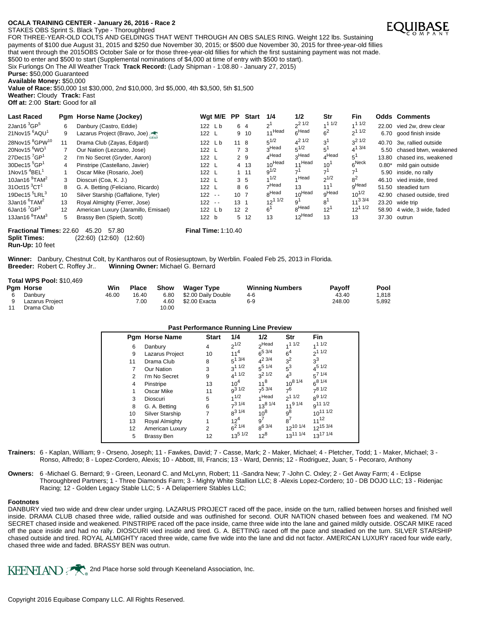STAKES OBS Sprint S. Black Type - Thoroughbred



Six Furlongs On The All Weather Track **Track Record:** (Lady Shipman - 1:08.80 - January 27, 2015)

**Purse:** \$50,000 Guaranteed

**Available Money:** \$50,000

**Value of Race:** \$50,000 1st \$30,000, 2nd \$10,000, 3rd \$5,000, 4th \$3,500, 5th \$1,500 **Weather:** Cloudy **Track:** Fast

**Off at:** 2:00 **Start:** Good for all

| <b>Last Raced</b>                      |    | Pgm Horse Name (Jockey)              |               | Wgt M/E PP |                 | <b>Start</b> | 1/4               | 1/2                | Str               | Fin          |         | <b>Odds Comments</b>        |
|----------------------------------------|----|--------------------------------------|---------------|------------|-----------------|--------------|-------------------|--------------------|-------------------|--------------|---------|-----------------------------|
| 2Jan16 $3$ GP $5$                      | 6  | Danbury (Castro, Eddie)              | 122 Lb        |            | 6 4             |              | $2^1$             | $2^{1/2}$          | 11/2              | 11/2         | 22.00   | vied 2w. drew clear         |
| 21Nov15 <sup>6</sup> AQU <sup>1</sup>  | 9  | Lazarus Project (Bravo, Joe)         | 122 L         |            |                 | 9 10         | 11Head            | $6$ Head           | 6 <sup>2</sup>    | $2^{11/2}$   |         | 6.70 good finish inside     |
| 28Nov15 <sup>8</sup> GPW <sup>10</sup> | 11 | Drama Club (Zayas, Edgard)           | 122 Lb        |            | 11 8            |              | $5^{1/2}$         | $4^{21/2}$         | 3 <sup>1</sup>    | $2^{21/2}$   |         | 40.70 3w. rallied outside   |
| 20Nov15 <sup>6</sup> WO <sup>1</sup>   |    | Our Nation (Lezcano, Jose)           | 122 L         |            | 7 3             |              | ∩Head             | $5^{1/2}$          |                   | $4^{1}$ 3/4  |         | 5.50 chased btwn. weakened  |
| 27Dec15 $^{7}$ GP <sup>1</sup>         | 2  | I'm No Secret (Gryder, Aaron)        | 122 L         |            | 2 9             |              | $_A$ Head         | 3Head              | $^4$ Head         |              | 13.80   | chased ins, weakened        |
| $30$ Dec15 $5$ GP <sup>1</sup>         |    | Pinstripe (Castellano, Javier)       | 122 L         |            |                 | 4 13         | $10^{Head}$       | 11 Head            | $10^{1}$          | $_{c}$ Neck  | $0.80*$ | mild gain outside           |
| 1Nov15 $4$ BEL <sup>1</sup>            |    | Oscar Mike (Rosario, Joel)           | 122 L         |            |                 | $1 \t11$     | $9^{1/2}$         |                    |                   |              | 5.90    | inside, no rally            |
| 10Jan16 <sup>9</sup> TAM <sup>2</sup>  | 3  | Dioscuri (Coa, K. J.)                | 122 L         |            | 3 <sub>5</sub>  |              | 1/2               | Head               | $2^{1/2}$         | $8^2$        |         | 46.10 vied inside, tired    |
| 31 $Oct15$ <sup>3</sup> $CT1$          | 8  | G. A. Betting (Feliciano, Ricardo)   | $122 \quad L$ |            | 86              |              | $\neg$ Head       | 13                 | 11                | $n$ Head     | 51.50   | steadied turn               |
| 19Dec15 $5$ LRL $3$                    | 10 | Silver Starship (Gaffalione, Tyler)  | $122 - -$     |            | 10 <sub>7</sub> |              | <sub>R</sub> Head | 10 <sup>Head</sup> | <sub>o</sub> Head | $10^{1/2}$   |         | 42.90 chased outside, tired |
| 3Jan16 <sup>6</sup> TAM <sup>2</sup>   | 13 | Royal Almighty (Ferrer, Jose)        | $122 - -$     |            | 13 <sub>1</sub> |              | $12^{11/2}$       | a١                 | 8'                | $11^{3}$ 3/4 |         | 23.20 wide trip             |
| 6Jan16 $^{7}$ GP $^{3}$                | 12 | American Luxury (Jaramillo, Emisael) | 122 Lb        |            | 12 <sub>2</sub> |              | $6^1$             | <sub>R</sub> Head  | $12^1$            | $12^{11/2}$  |         | 58.90 4 wide, 3 wide, faded |
| 13Jan16 <sup>8</sup> TAM <sup>3</sup>  | 5  | Brassy Ben (Spieth, Scott)           | 122 b         |            |                 | 5 12         | 13                | 12Head             | 13                | 13           | 37.30   | outrun                      |

**Fractional Times:** 22.60 45.20 57.80 **Final Time:** 1:10.40 **Split Times:**  $(22.60) (12.60) (12.60)$ **Split Times:** (22:60) (12:60) (12:60) **Run-Up:** 10 feet

**Winner:** Danbury, Chestnut Colt, by Kantharos out of Rosiesuptown, by Werblin. Foaled Feb 25, 2013 in Florida. **Breeder:** Robert C. Roffey Jr.. **Winning Owner:** Michael G. Bernard

#### **Total WPS Pool:** \$10,469

|     | Pam Horse       | Win   | <b>Place</b> | Show  | Wager Type          | <b>Winning Numbers</b> | <b>Pavoff</b> | Pool  |
|-----|-----------------|-------|--------------|-------|---------------------|------------------------|---------------|-------|
| - 6 | Danbury         | 46.00 | 16.40        | 6.80  | \$2.00 Daily Double | 4-6                    | 43.40         | 1.818 |
| 9   | Lazarus Proiect |       | 7.00         | 4.60  | \$2.00 Exacta       | $6-9$                  | 248.00        | 5,892 |
|     | Drama Club      |       |              | 10.00 |                     |                        |               |       |

### **Past Performance Running Line Preview**

|    | Pgm Horse Name    | <b>Start</b> | 1/4             | 1/2                | Str             | <b>Fin</b>          |
|----|-------------------|--------------|-----------------|--------------------|-----------------|---------------------|
| 6  | Danbury           | 4            | $2^{1/2}$       | <sub>2</sub> Head  | 11/2            | 11/2                |
| 9  | Lazarus Project   | 10           | $11^4$          | $6^{5}$ 3/4        | 6 <sup>4</sup>  | $2^{11/2}$          |
| 11 | Drama Club        | 8            | $5^{13/4}$      | $4^2$ 3/4          | 3 <sup>2</sup>  | $3^3$               |
| 7  | Our Nation        | 3            | $3^{11/2}$      | $5^{\frac{5}{14}}$ | $5^3$           | $4^{5}$ 1/2         |
| 2  | I'm No Secret     | 9            | $4^{11/2}$      | $2^{21/2}$         | $4^3$           | $5^{7}$ 1/4         |
| 4  | Pinstripe         | 13           | 10 <sup>4</sup> | $11^8$             | $10^{8}$ $1/4$  | $6^{8}$ 1/4         |
|    | Oscar Mike        | 11           | $q^{3}1/2$      | $7^5$ 3/4          | 7 <sup>6</sup>  | 781/2               |
| 3  | <b>Dioscuri</b>   | 5            | 1/2             | 1Head              | $2^{11/2}$      | $8^{9}$ 1/2         |
| 8  | G. A. Betting     | 6            | $7^3$ 1/4       | $13^{8}$ $1/4$     | $11^{9}$ $1/4$  | g <sup>11 1/2</sup> |
| 10 | Silver Starship   | 7            | $R^{31/4}$      | $10^8$             | $9^8$           | $10^{11}$ $1/2$     |
| 13 | Royal Almighty    |              | $12^4$          | g <sup>7</sup>     | $8^7$           | $11^{12}$           |
| 12 | American Luxury   | 2            | $6^2$ 1/4       | $8^{6}$ 3/4        | $12^{10}$ $1/4$ | $12^{15}$ 3/4       |
| 5  | <b>Brassy Ben</b> | 12           | $13^{5}$ $1/2$  | $12^8$             | $13^{11}$ $1/4$ | $13^{17}$ $1/4$     |

- **Trainers:** 6 Kaplan, William; 9 Orseno, Joseph; 11 Fawkes, David; 7 Casse, Mark; 2 Maker, Michael; 4 Pletcher, Todd; 1 Maker, Michael; 3 Ronso, Alfredo; 8 - Lopez-Cordero, Alexis; 10 - Abbott, III, Francis; 13 - Ward, Dennis; 12 - Rodriguez, Juan; 5 - Pecoraro, Anthony
- **Owners:** 6 -Michael G. Bernard; 9 Green, Leonard C. and McLynn, Robert; 11 -Sandra New; 7 -John C. Oxley; 2 Get Away Farm; 4 Eclipse Thoroughbred Partners; 1 - Three Diamonds Farm; 3 - Mighty White Stallion LLC; 8 -Alexis Lopez-Cordero; 10 - DB DOJO LLC; 13 - Ridenjac Racing; 12 - Golden Legacy Stable LLC; 5 - A Delaperriere Stables LLC;

### **Footnotes**

DANBURY vied two wide and drew clear under urging. LAZARUS PROJECT raced off the pace, inside on the turn, rallied between horses and finished well inside. DRAMA CLUB chased three wide, rallied outside and was outfinished for second. OUR NATION chased between foes and weakened. I'M NO SECRET chased inside and weakened. PINSTRIPE raced off the pace inside, came three wide into the lane and gained mildly outside. OSCAR MIKE raced off the pace inside and had no rally. DIOSCURI vied inside and tired. G. A. BETTING raced off the pace and steadied on the turn. SILVER STARSHIP chased outside and tired. ROYAL ALMIGHTY raced three wide, came five wide into the lane and did not factor. AMERICAN LUXURY raced four wide early, chased three wide and faded. BRASSY BEN was outrun.

KEENELAND 2nd Place horse sold through Keeneland Association, Inc.

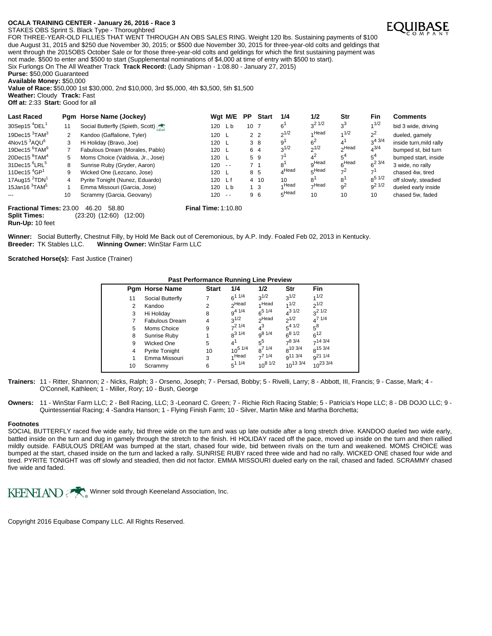STAKES OBS Sprint S. Black Type - Thoroughbred

FOR THREE-YEAR-OLD FILLIES THAT WENT THROUGH AN OBS SALES RING. Weight 120 lbs. Sustaining payments of \$100 due August 31, 2015 and \$250 due November 30, 2015; or \$500 due November 30, 2015 for three-year-old colts and geldings that went through the 2015OBS October Sale or for those three-year-old colts and geldings for which the first sustaining payment was not made. \$500 to enter and \$500 to start (Supplemental nominations of \$4,000 at time of entry with \$500 to start).

Six Furlongs On The All Weather Track **Track Record:** (Lady Shipman - 1:08.80 - January 27, 2015)

**Purse:** \$50,000 Guaranteed

**Available Money:** \$50,000

**Value of Race:** \$50,000 1st \$30,000, 2nd \$10,000, 3rd \$5,000, 4th \$3,500, 5th \$1,500 **Weather:** Cloudy **Track:** Fast **Off at:** 2:33 **Start:** Good for all

| <b>Last Raced</b>                                     |    | Pgm Horse Name (Jockey)                      |                            | Wgt M/E       | PP.             | <b>Start</b>   | 1/4       | 1/2            | Str            | Fin         | <b>Comments</b>         |
|-------------------------------------------------------|----|----------------------------------------------|----------------------------|---------------|-----------------|----------------|-----------|----------------|----------------|-------------|-------------------------|
| 30Sep15 $^{4}$ DEL <sup>1</sup>                       | 11 | Social Butterfly (Spieth, Scott)             | 120 Lb                     |               | 10 <sub>7</sub> |                | $6^1$     | $3^2$ 1/2      | $3^3$          | 1/2         | bid 3 wide, driving     |
| 19Dec15 $3$ TAM $3$                                   | 2  | Kandoo (Gaffalione, Tyler)                   | 120 L                      |               |                 | 2 <sub>2</sub> | $2^{1/2}$ | 4 Head         | 1/2            | $2^2$       | dueled, gamely          |
| $4$ Nov15 $3$ AQU $6$                                 | 3  | Hi Holiday (Bravo, Joe)                      | 120 L                      |               |                 | 38             | 9'        | 6 <sup>2</sup> |                | $3^{4}$ 3/4 | inside turn, mild rally |
| 19Dec15 <sup>6</sup> TAM <sup>9</sup>                 |    | Fabulous Dream (Morales, Pablo)              | 120 L                      |               |                 | 6 4            | $3^{1/2}$ | $2^{1/2}$      | ∩Head          | $4^{3/4}$   | bumped st, bid turn     |
| 20Dec15 <sup>8</sup> TAM <sup>4</sup>                 | 5  | Moms Choice (Valdivia, Jr., Jose)            | 120 L                      |               |                 | 59             |           | $4^2$          | 5 <sup>4</sup> | $5^4$       | bumped start, inside    |
| 31Dec15 <sup>6</sup> LRL <sup>5</sup>                 | 8  | Sunrise Ruby (Gryder, Aaron)                 | $120 - -$                  |               | 7 <sub>1</sub>  |                | 8'        | $n$ Head       | 6Head          | $6^{23/4}$  | 3 wide, no rally        |
| 11Dec15 $^{4}$ GP <sup>1</sup>                        | 9  | Wicked One (Lezcano, Jose)                   | 120 L                      |               |                 | 8 5            | $A$ Head  | $5$ Head       | $7^2$          |             | chased 4w. tired        |
| 17Aug15 $2$ TDN <sup>1</sup>                          | 4  | Pyrite Tonight (Nunez, Eduardo)              | 120 Lf                     |               |                 | 4 10           | 10        | 8'             | 8'             | $8^{5}$ 1/2 | off slowly, steadied    |
| 15Jan16 $3$ TAM $5$                                   |    | Emma Missouri (Garcia, Jose)                 | 120 Lb                     |               |                 | 1 <sub>3</sub> | 4 Head    | $\neg$ Head    | 9 <sup>2</sup> | $9^2$ 1/2   | dueled early inside     |
|                                                       | 10 | Scrammy (Garcia, Geovany)                    | 120                        | $\sim$ $\sim$ |                 | 96             | 5Head     | 10             | 10             | 10          | chased 5w. faded        |
| <b>Fractional Times: 23.00</b><br><b>Split Times:</b> |    | 46.20<br>58.80<br>(23:20) (12:60)<br>(12:00) | <b>Final Time: 1:10.80</b> |               |                 |                |           |                |                |             |                         |

**Run-Up:** 10 feet

Winner: Social Butterfly, Chestnut Filly, by Hold Me Back out of Ceremonious, by A.P. Indy. Foaled Feb 02, 2013 in Kentucky.<br>Breeder: TK Stables LLC. Winning Owner: WinStar Farm LLC **Winning Owner: WinStar Farm LLC** 

**Scratched Horse(s):** Fast Justice (Trainer)

| <b>Past Performance Running Line Preview</b> |                       |              |                   |                   |               |               |  |  |  |  |  |  |
|----------------------------------------------|-----------------------|--------------|-------------------|-------------------|---------------|---------------|--|--|--|--|--|--|
|                                              | <b>Pgm Horse Name</b> | <b>Start</b> | 1/4               | 1/2               | Str           | Fin           |  |  |  |  |  |  |
| 11                                           | Social Butterfly      |              | $6^{11/4}$        | $2^{1/2}$         | $2^{1/2}$     | 1/2           |  |  |  |  |  |  |
| 2                                            | Kandoo                | 2            | <sub>2</sub> Head | 1Head             | 1/2           | $2^{1/2}$     |  |  |  |  |  |  |
| 3                                            | Hi Holiday            | 8            | $9^{4}$ $1/4$     | $6^{5}$ 1/4       | $4^{31/2}$    | $2^{21/2}$    |  |  |  |  |  |  |
|                                              | <b>Fabulous Dream</b> | 4            | $3^{1/2}$         | <sub>2</sub> Head | $2^{1/2}$     | $4^{7}$ 1/4   |  |  |  |  |  |  |
| 5                                            | Moms Choice           | 9            | $7^2$ 1/4         | $4^3$             | $5^{4}$ 1/2   | $5^8$         |  |  |  |  |  |  |
| 8                                            | Sunrise Ruby          |              | $R^{31/4}$        | $9^{8}$ 1/4       | $6^{8}$ 1/2   | $6^{12}$      |  |  |  |  |  |  |
| 9                                            | Wicked One            | 5            | $4^1$             | $5^5$             | $7^8$ 3/4     | $7^{14}$ 3/4  |  |  |  |  |  |  |
| 4                                            | <b>Pyrite Tonight</b> | 10           | $10^{5}$ $1/4$    | $R^{7}$ 1/4       | $8^{10}$ 3/4  | $8^{15}$ 3/4  |  |  |  |  |  |  |
| 1                                            | Emma Missouri         | 3            | 1Head             | $7^{7}$ 1/4       | $9^{11}$ 3/4  | $q^{21}$ 1/4  |  |  |  |  |  |  |
| 10                                           | Scrammy               | 6            | $5^{11/4}$        | $10^{8}$ $1/2$    | $10^{13}$ 3/4 | $10^{23}$ 3/4 |  |  |  |  |  |  |

**Trainers:** 11 - Ritter, Shannon; 2 - Nicks, Ralph; 3 - Orseno, Joseph; 7 - Persad, Bobby; 5 - Rivelli, Larry; 8 - Abbott, III, Francis; 9 - Casse, Mark; 4 - O'Connell, Kathleen; 1 - Miller, Rory; 10 - Bush, George

**Owners:** 11 - WinStar Farm LLC; 2 - Bell Racing, LLC; 3 -Leonard C. Green; 7 - Richie Rich Racing Stable; 5 - Patricia's Hope LLC; 8 - DB DOJO LLC; 9 - Quintessential Racing; 4 -Sandra Hanson; 1 - Flying Finish Farm; 10 - Silver, Martin Mike and Martha Borchetta;

### **Footnotes**

SOCIAL BUTTERFLY raced five wide early, bid three wide on the turn and was up late outside after a long stretch drive. KANDOO dueled two wide early, battled inside on the turn and dug in gamely through the stretch to the finish. HI HOLIDAY raced off the pace, moved up inside on the turn and then rallied mildly outside. FABULOUS DREAM was bumped at the start, chased four wide, bid between rivals on the turn and weakened. MOMS CHOICE was bumped at the start, chased inside on the turn and lacked a rally. SUNRISE RUBY raced three wide and had no rally. WICKED ONE chased four wide and tired. PYRITE TONIGHT was off slowly and steadied, then did not factor. EMMA MISSOURI dueled early on the rail, chased and faded. SCRAMMY chased five wide and faded.

KEENELAND Winner sold through Keeneland Association, Inc.

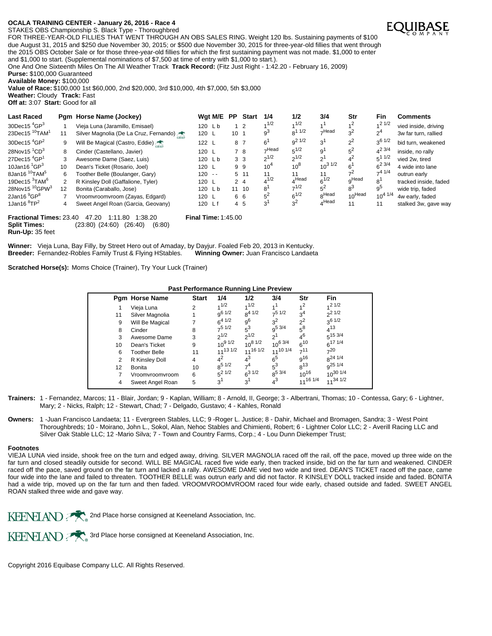STAKES OBS Championship S. Black Type - Thoroughbred

FOR THREE-YEAR-OLD FILLIES THAT WENT THROUGH AN OBS SALES RING. Weight 120 lbs. Sustaining payments of \$100 due August 31, 2015 and \$250 due November 30, 2015; or \$500 due November 30, 2015 for three-year-old fillies that went through the 2015 OBS October Sale or for those three-year-old fillies for which the first sustaining payment was not made. \$1,000 to enter and \$1,000 to start. (Supplemental nominations of \$7,500 at time of entry with \$1,000 to start.).

One And One Sixteenth Miles On The All Weather Track **Track Record:** (Fitz Just Right - 1:42.20 - February 16, 2009) **Purse:** \$100,000 Guaranteed

**Available Money:** \$100,000

**Value of Race:** \$100,000 1st \$60,000, 2nd \$20,000, 3rd \$10,000, 4th \$7,000, 5th \$3,000 **Weather:** Cloudy **Track:** Fast

**Off at:** 3:07 **Start:** Good for all

| <b>Last Raced</b>                      |                                                                                             | Pam Horse Name (Jockey)                |           | Wat M/E | <b>PP</b>       | <b>Start</b>   | 1/4            | 1/2               | 3/4               | Str                | <b>Fin</b>     | <b>Comments</b>       |
|----------------------------------------|---------------------------------------------------------------------------------------------|----------------------------------------|-----------|---------|-----------------|----------------|----------------|-------------------|-------------------|--------------------|----------------|-----------------------|
| 30Dec15 $^{4}$ GP $^{3}$               |                                                                                             | Vieja Luna (Jaramillo, Emisael)        | $120$ Lb  |         |                 | $1\quad2$      | 1/2            | 1/2               |                   | 1 <sup>2</sup>     | $1/2$ 1/2      | vied inside, driving  |
| 23Dec15 <sup>10</sup> TAM <sup>1</sup> | 11                                                                                          | Silver Magnolia (De La Cruz, Fernando) | 120 L     |         | 10 <sub>1</sub> |                | $9^3$          | $8^{11/2}$        | $\neg$ Head       | 3 <sup>2</sup>     | 2 <sup>4</sup> | 3w far turn, rallied  |
| 30Dec15 $^{4}$ GP <sup>2</sup>         | 9                                                                                           | Will Be Magical (Castro, Eddie)        | 122 L     |         | 8 7             |                | 6'             | $9^2$ 1/2         | 3 <sup>1</sup>    | $2^2$              | $3^{6}$ 1/2    | bid turn, weakened    |
| 28Nov15 $^{1}CD^{3}$                   | 8                                                                                           | Cinder (Castellano, Javier)            | 120 L     |         |                 | 78             | $\neg$ Head    | $5^{1/2}$         | 9 <sup>1</sup>    | 5 <sup>2</sup>     | $4^2$ 3/4      | inside, no rally      |
| 27Dec15 $^{4}$ GP <sup>1</sup>         | 3                                                                                           | Awesome Dame (Saez, Luis)              | 120 Lb    |         |                 | 3 <sub>3</sub> | $2^{1/2}$      | $2^{1/2}$         | 2'                |                    | $5^1$ $1/2$    | vied 2w. tired        |
| 10Jan16 $^{1}$ GP $^{3}$               | 10                                                                                          | Dean's Ticket (Rosario, Joel)          | 120 L     |         |                 | 99             | $10^{4}$       | $10^8$            | $10^{3}$ $1/2$    | 6'                 | $6^{2}$ 3/4    | 4 wide into lane      |
| 8Jan16 <sup>10</sup> TAM <sup>5</sup>  | 6                                                                                           | Toother Belle (Boulanger, Gary)        | $120 - -$ |         |                 | 5, 11          | 11             | 11                | 11                |                    | $-41/4$        | outrun early          |
| 19Dec15 $3$ TAM $6$                    | 2                                                                                           | R Kinsley Doll (Gaffalione, Tyler)     | 120 L     |         |                 | $2\quad 4$     | $4^{1/2}$      | $4^{\text{Head}}$ | $6^{1/2}$         | gHead              | 8              | tracked inside, faded |
| 28Nov15 <sup>10</sup> GPW <sup>3</sup> | 12                                                                                          | Bonita (Caraballo, Jose)               | 120 Lb    |         |                 | 11 10          | 8'             | $7^{1/2}$         | 54                | $8^3$              | $9^5$          | wide trip, faded      |
| 2Jan16 <sup>9</sup> GP <sup>8</sup>    |                                                                                             | Vroomvroomvroom (Zayas, Edgard)        | 120 L     |         |                 | 66             | 5 <sup>2</sup> | $6^{1/2}$         | <sub>o</sub> Head | 10 <sup>Head</sup> | $10^{4}$ $1/4$ | 4w early, faded       |
| 1Jan16 ${}^{8}TP^2$                    | 4                                                                                           | Sweet Angel Roan (Garcia, Geovany)     | 120 Lf    |         |                 | 4 5            | 3'             | 3 <sup>2</sup>    | $_A$ Head         | 11                 | 11             | stalked 3w, gave way  |
|                                        | <b>Fractional Times: 23.40</b><br>47.20<br><b>Final Time: 1:45.00</b><br>1:11.80<br>1:38.20 |                                        |           |         |                 |                |                |                   |                   |                    |                |                       |

**Split Times:** (23:80) (24:60) (26:40) (6:80) **Run-Up:** 35 feet

Winner: Vieja Luna, Bay Filly, by Street Hero out of Amaday, by Dayjur. Foaled Feb 20, 2013 in Kentucky.<br>Breeder: Fernandez-Robles Family Trust & Flying HStables. **Winning Owner:** Juan Francisco Landaeta **Breeder:** Fernandez-Robles Family Trust & Flying HStables.

**Scratched Horse(s):** Moms Choice (Trainer), Try Your Luck (Trainer)

### **Past Performance Running Line Preview**

|    |                       |                |                 | ັ              |                |                 |                     |
|----|-----------------------|----------------|-----------------|----------------|----------------|-----------------|---------------------|
|    | <b>Pgm Horse Name</b> | <b>Start</b>   | 1/4             | 1/2            | 3/4            | Str             | Fin                 |
|    | Vieja Luna            | 2              | 1/2             | 1/2            |                | 1 <sup>2</sup>  | $1/2$ 1/2           |
| 11 | Silver Magnolia       |                | $q^{6}$ 1/2     | $8^{4}$ 1/2    | $-51/2$        | 3 <sup>4</sup>  | $2^{1/2}$           |
| 9  | Will Be Magical       |                | $6^{4}$ 1/2     | 9 <sup>6</sup> | $3^2$          | $2^2$           | $3^{6}$ 1/2         |
| 8  | Cinder                | 8              | $7^5$ 1/2       | $5^3$          | $9^{5\,3/4}$   | $5^8$           | $4^{13}$            |
| 3  | Awesome Dame          | 3              | $2^{1/2}$       | $2^{1/2}$      | י פ            | $4^6$           | $5^{15}$ 3/4        |
| 10 | Dean's Ticket         | 9              | $10^{9}$ $1/2$  | $10^{8}$ $1/2$ | $10^6$ 3/4     | $6^{10}$        | 6 <sup>17 1/4</sup> |
| 6  | <b>Toother Belle</b>  | 11             | $11^{13}$ $1/2$ | 1161/2         | $11^{10}$ 1/4  | 711             | 720                 |
| 2  | R Kinsley Doll        | $\overline{4}$ | 42              | $4^3$          | $6^5$          | g <sup>16</sup> | 8 <sup>24 1/4</sup> |
| 12 | <b>Bonita</b>         | 10             | $8^{5}$ 1/2     | 7 <sup>4</sup> | $5^3$          | $R^{13}$        | g <sup>25</sup> 1/4 |
|    | Vroomvroomvroom       | 6              | $5^2$ 1/2       | $6^{31/2}$     | $8^{5}$ 3/4    | $10^{16}$       | $10^{30}$ 1/4       |
| 4  | Sweet Angel Roan      | 5              | 3 <sup>1</sup>  | 3 <sup>1</sup> | 4 <sup>3</sup> | $11^{16}$ $1/4$ | $11^{34}$ 1/2       |
|    |                       |                |                 |                |                |                 |                     |

**Trainers:** 1 - Fernandez, Marcos; 11 - Blair, Jordan; 9 - Kaplan, William; 8 - Arnold, II, George; 3 - Albertrani, Thomas; 10 - Contessa, Gary; 6 - Lightner, Mary; 2 - Nicks, Ralph; 12 - Stewart, Chad; 7 - Delgado, Gustavo; 4 - Kahles, Ronald

**Owners:** 1 -Juan Francisco Landaeta; 11 - Evergreen Stables, LLC; 9 -Roger L. Justice; 8 - Dahir, Michael and Bromagen, Sandra; 3 - West Point Thoroughbreds; 10 - Moirano, John L., Sokol, Alan, Nehoc Stables and Chimienti, Robert; 6 - Lightner Color LLC; 2 - Averill Racing LLC and Silver Oak Stable LLC; 12 -Mario Silva; 7 - Town and Country Farms, Corp.; 4 - Lou Dunn Diekemper Trust;

#### **Footnotes**

VIEJA LUNA vied inside, shook free on the turn and edged away, driving. SILVER MAGNOLIA raced off the rail, off the pace, moved up three wide on the far turn and closed steadily outside for second. WILL BE MAGICAL raced five wide early, then tracked inside, bid on the far turn and weakened. CINDER raced off the pace, saved ground on the far turn and lacked a rally. AWESOME DAME vied two wide and tired. DEAN'S TICKET raced off the pace, came four wide into the lane and failed to threaten. TOOTHER BELLE was outrun early and did not factor. R KINSLEY DOLL tracked inside and faded. BONITA had a wide trip, moved up on the far turn and then faded. VROOMVROOMVROOM raced four wide early, chased outside and faded. SWEET ANGEL ROAN stalked three wide and gave way.



KEENELAND ARE 3rd Place horse consigned at Keeneland Association, Inc.